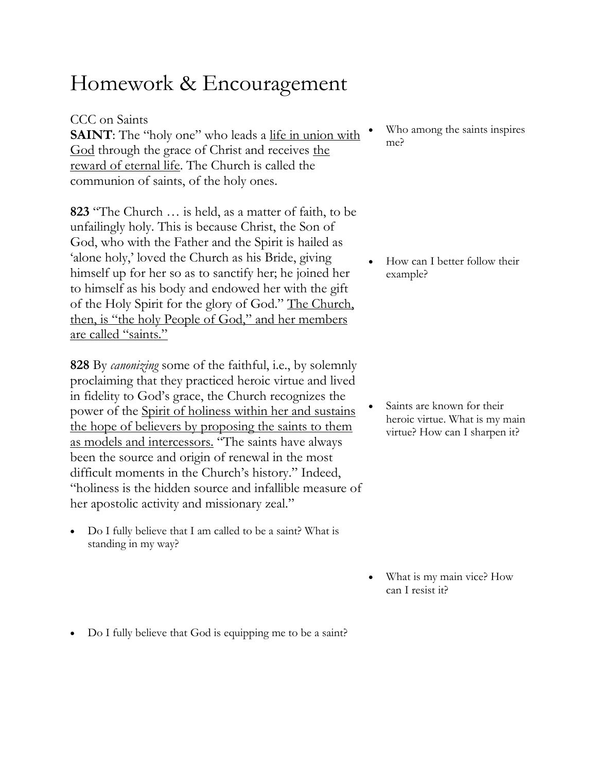## Homework & Encouragement

CCC on Saints

**SAINT**: The "holy one" who leads a life in union with God through the grace of Christ and receives the reward of eternal life. The Church is called the communion of saints, of the holy ones.

**823** "The Church … is held, as a matter of faith, to be unfailingly holy. This is because Christ, the Son of God, who with the Father and the Spirit is hailed as 'alone holy,' loved the Church as his Bride, giving himself up for her so as to sanctify her; he joined her to himself as his body and endowed her with the gift of the Holy Spirit for the glory of God." The Church, then, is "the holy People of God," and her members are called "saints."

**828** By *canonizing* some of the faithful, i.e., by solemnly proclaiming that they practiced heroic virtue and lived in fidelity to God's grace, the Church recognizes the power of the Spirit of holiness within her and sustains the hope of believers by proposing the saints to them as models and intercessors. "The saints have always been the source and origin of renewal in the most difficult moments in the Church's history." Indeed, "holiness is the hidden source and infallible measure of her apostolic activity and missionary zeal."

• Do I fully believe that I am called to be a saint? What is standing in my way?

Who among the saints inspires me?

• How can I better follow their example?

Saints are known for their heroic virtue. What is my main virtue? How can I sharpen it?

- What is my main vice? How can I resist it?
- Do I fully believe that God is equipping me to be a saint?